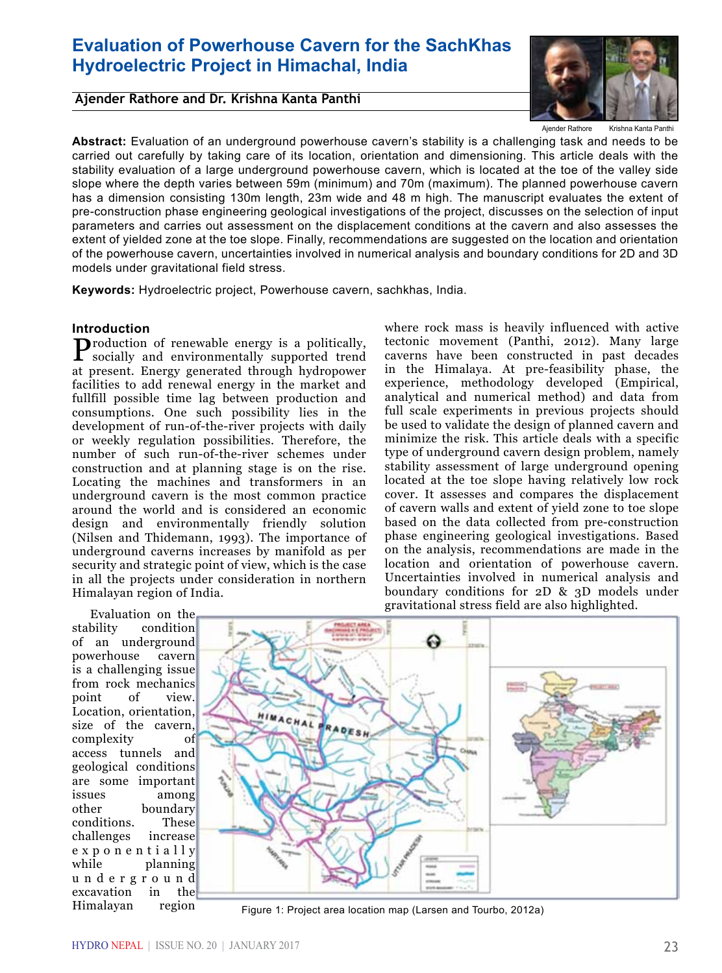# **Evaluation of Powerhouse Cavern for the SachKhas Hydroelectric Project in Himachal, India**

**Ajender Rathore and Dr. Krishna Kanta Panthi** 



Krishna Kanta Ajender Rathore

**Abstract:** Evaluation of an underground powerhouse cavern's stability is a challenging task and needs to be carried out carefully by taking care of its location, orientation and dimensioning. This article deals with the stability evaluation of a large underground powerhouse cavern, which is located at the toe of the valley side slope where the depth varies between 59m (minimum) and 70m (maximum). The planned powerhouse cavern has a dimension consisting 130m length, 23m wide and 48 m high. The manuscript evaluates the extent of pre-construction phase engineering geological investigations of the project, discusses on the selection of input parameters and carries out assessment on the displacement conditions at the cavern and also assesses the extent of yielded zone at the toe slope. Finally, recommendations are suggested on the location and orientation of the powerhouse cavern, uncertainties involved in numerical analysis and boundary conditions for 2D and 3D models under gravitational field stress.

**Keywords:** Hydroelectric project, Powerhouse cavern, sachkhas, India.

## **Introduction**

Production of renewable energy is a politically, socially and environmentally supported trend at present. Energy generated through hydropower facilities to add renewal energy in the market and fullfill possible time lag between production and consumptions. One such possibility lies in the development of run-of-the-river projects with daily or weekly regulation possibilities. Therefore, the number of such run-of-the-river schemes under construction and at planning stage is on the rise. Locating the machines and transformers in an underground cavern is the most common practice around the world and is considered an economic design and environmentally friendly solution (Nilsen and Thidemann, 1993). The importance of underground caverns increases by manifold as per security and strategic point of view, which is the case in all the projects under consideration in northern Himalayan region of India.

where rock mass is heavily influenced with active tectonic movement (Panthi, 2012). Many large caverns have been constructed in past decades in the Himalaya. At pre-feasibility phase, the experience, methodology developed (Empirical, analytical and numerical method) and data from full scale experiments in previous projects should be used to validate the design of planned cavern and minimize the risk. This article deals with a specific type of underground cavern design problem, namely stability assessment of large underground opening located at the toe slope having relatively low rock cover. It assesses and compares the displacement of cavern walls and extent of yield zone to toe slope based on the data collected from pre-construction phase engineering geological investigations. Based on the analysis, recommendations are made in the location and orientation of powerhouse cavern. Uncertainties involved in numerical analysis and boundary conditions for 2D & 3D models under gravitational stress field are also highlighted.

Evaluation on the<br>stability condition condition of an underground powerhouse cavern is a challenging issue from rock mechanics<br>point of view point Location, orientation, size of the cavern, complexity of access tunnels and geological conditions are some important issues among other boundary<br>conditions. These conditions. challenges increase e x p o n e n t i a l l y while planning u n d e r g r o u n d excavation in the Himalayan region



Figure 1: Project area location map (Larsen and Tourbo, 2012a)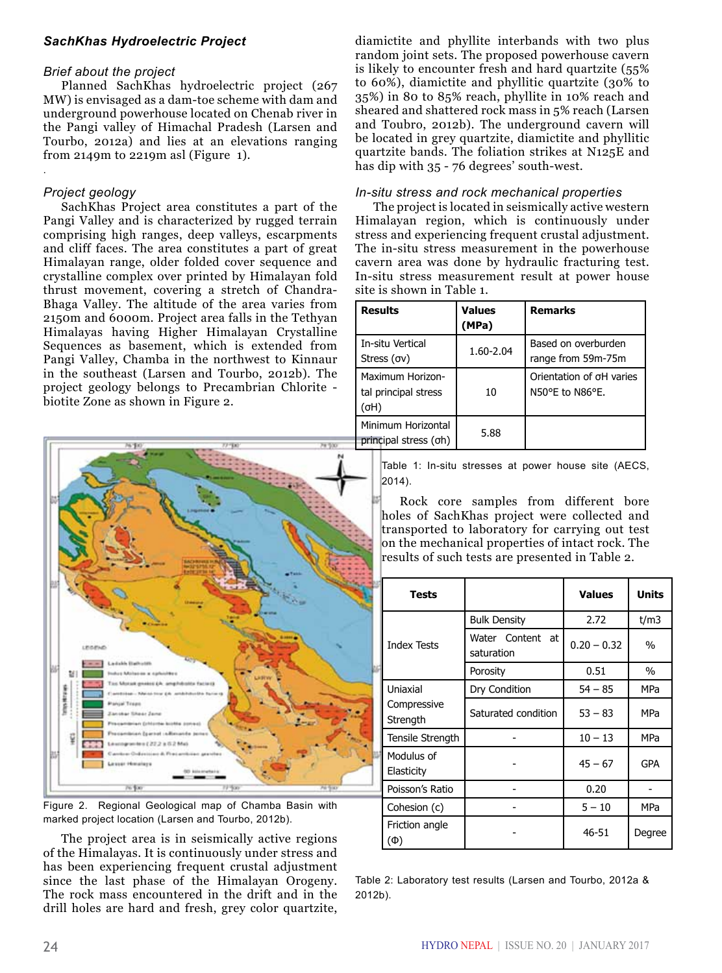## *SachKhas Hydroelectric Project*

#### *Brief about the project*

Planned SachKhas hydroelectric project (267 MW) is envisaged as a dam-toe scheme with dam and underground powerhouse located on Chenab river in the Pangi valley of Himachal Pradesh (Larsen and Tourbo, 2012a) and lies at an elevations ranging from 2149m to 2219m asl (Figure 1).

## *Project geology*

.

SachKhas Project area constitutes a part of the Pangi Valley and is characterized by rugged terrain comprising high ranges, deep valleys, escarpments and cliff faces. The area constitutes a part of great Himalayan range, older folded cover sequence and crystalline complex over printed by Himalayan fold thrust movement, covering a stretch of Chandra-Bhaga Valley. The altitude of the area varies from 2150m and 6000m. Project area falls in the Tethyan Himalayas having Higher Himalayan Crystalline Sequences as basement, which is extended from Pangi Valley, Chamba in the northwest to Kinnaur in the southeast (Larsen and Tourbo, 2012b). The project geology belongs to Precambrian Chlorite biotite Zone as shown in Figure 2.



Figure 2. Regional Geological map of Chamba Basin with marked project location (Larsen and Tourbo, 2012b).

The project area is in seismically active regions of the Himalayas. It is continuously under stress and has been experiencing frequent crustal adjustment since the last phase of the Himalayan Orogeny. The rock mass encountered in the drift and in the drill holes are hard and fresh, grey color quartzite,

diamictite and phyllite interbands with two plus random joint sets. The proposed powerhouse cavern is likely to encounter fresh and hard quartzite (55% to 60%), diamictite and phyllitic quartzite (30% to 35%) in 80 to 85% reach, phyllite in 10% reach and sheared and shattered rock mass in 5% reach (Larsen and Toubro, 2012b). The underground cavern will be located in grey quartzite, diamictite and phyllitic quartzite bands. The foliation strikes at N125E and has dip with 35 - 76 degrees' south-west.

#### *In-situ stress and rock mechanical properties*

The project is located in seismically active western Himalayan region, which is continuously under stress and experiencing frequent crustal adjustment. The in-situ stress measurement in the powerhouse cavern area was done by hydraulic fracturing test. In-situ stress measurement result at power house site is shown in Table 1.

| <b>Results</b>                                   | Values<br>(MPa) | <b>Remarks</b>                              |
|--------------------------------------------------|-----------------|---------------------------------------------|
| l In-situ Vertical<br>Stress (σν)                | 1.60-2.04       | Based on overburden<br>range from 59m-75m   |
| Maximum Horizon-<br>tal principal stress<br>(σH) | 10              | Orientation of oH varies<br>N50°E to N86°E. |
| Minimum Horizontal<br>principal stress (oh)      | 5.88            |                                             |

Table 1: In-situ stresses at power house site (AECS, 2014).

Rock core samples from different bore holes of SachKhas project were collected and transported to laboratory for carrying out test on the mechanical properties of intact rock. The results of such tests are presented in Table 2.

| <b>Tests</b>             |                                |               | Units  |
|--------------------------|--------------------------------|---------------|--------|
|                          | <b>Bulk Density</b>            | 2.72          | t/m3   |
| <b>Index Tests</b>       | Water Content at<br>saturation | $0.20 - 0.32$ | $\%$   |
|                          | Porosity                       | 0.51          | $\%$   |
| Uniaxial                 | Dry Condition                  | $54 - 85$     | MPa    |
| Compressive<br>Strength  | Saturated condition            | $53 - 83$     | MPa    |
| Tensile Strength         |                                | $10 - 13$     | MPa    |
| Modulus of<br>Elasticity |                                | $45 - 67$     | GPA    |
| Poisson's Ratio          |                                | 0.20          |        |
| Cohesion (c)             |                                | $5 - 10$      | MPa    |
| Friction angle<br>(Ф)    |                                | 46-51         | Degree |

Table 2: Laboratory test results (Larsen and Tourbo, 2012a & 2012b).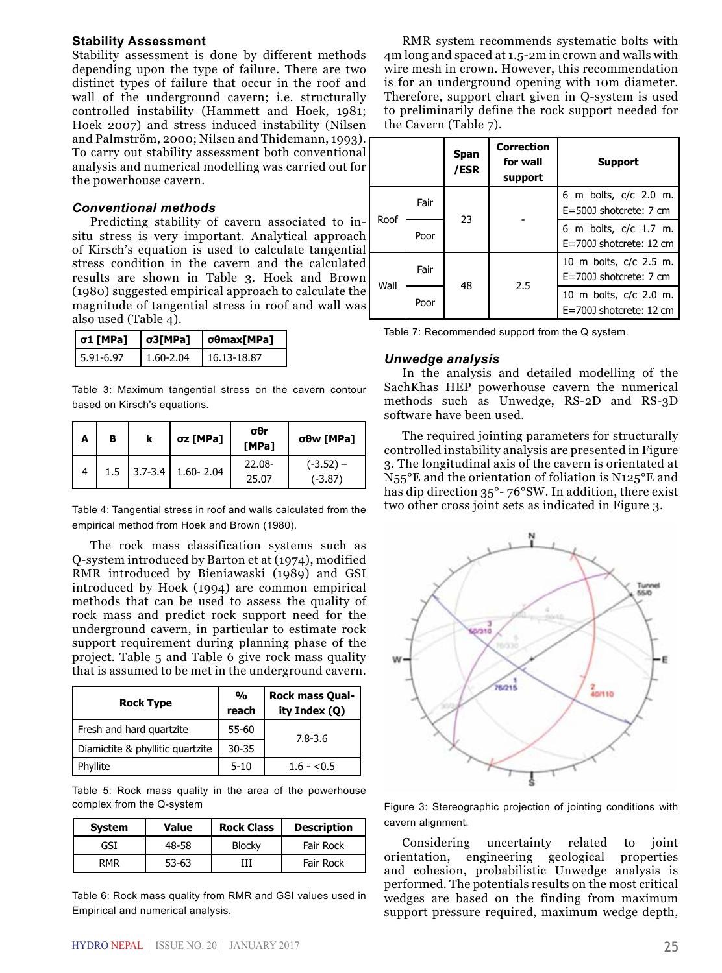#### **Stability Assessment**

Stability assessment is done by different methods depending upon the type of failure. There are two distinct types of failure that occur in the roof and wall of the underground cavern; i.e. structurally controlled instability (Hammett and Hoek, 1981; Hoek 2007) and stress induced instability (Nilsen and Palmström, 2000; Nilsen and Thidemann, 1993). To carry out stability assessment both conventional analysis and numerical modelling was carried out for the powerhouse cavern.

## *Conventional methods*

Predicting stability of cavern associated to insitu stress is very important. Analytical approach of Kirsch's equation is used to calculate tangential stress condition in the cavern and the calculated results are shown in Table 3. Hoek and Brown (1980) suggested empirical approach to calculate the magnitude of tangential stress in roof and wall was also used (Table 4).

| $  \sigma1$ [MPa] | $\sigma$ 3[MPa] | σθmax[MPa]  |
|-------------------|-----------------|-------------|
| $15.91 - 6.97$    | 1.60-2.04       | 16.13-18.87 |

Table 3: Maximum tangential stress on the cavern contour based on Kirsch's equations.

| A | в   | σz [MPa]                | $\sigma$ θr<br>[MPa] | σθw [MPa]                |
|---|-----|-------------------------|----------------------|--------------------------|
|   | 1.5 | $3.7 - 3.4$ 1.60 - 2.04 | $22.08 -$<br>25.07   | $(-3.52) -$<br>$(-3.87)$ |
|   |     |                         |                      |                          |

Table 4: Tangential stress in roof and walls calculated from the empirical method from Hoek and Brown (1980).

The rock mass classification systems such as Q-system introduced by Barton et at (1974), modified RMR introduced by Bieniawaski (1989) and GSI introduced by Hoek (1994) are common empirical methods that can be used to assess the quality of rock mass and predict rock support need for the underground cavern, in particular to estimate rock support requirement during planning phase of the project. Table 5 and Table 6 give rock mass quality that is assumed to be met in the underground cavern.

| <b>Rock Type</b>                 | %<br>reach | <b>Rock mass Qual-</b><br>ity Index (Q) |
|----------------------------------|------------|-----------------------------------------|
| Fresh and hard quartzite         | 55-60      | 7.8-3.6                                 |
| Diamictite & phyllitic quartzite | $30 - 35$  |                                         |
| Phyllite                         | $5 - 10$   | $1.6 - 5.5$                             |

Table 5: Rock mass quality in the area of the powerhouse complex from the Q-system

| <b>System</b> | Value     | <b>Rock Class</b> | <b>Description</b> |
|---------------|-----------|-------------------|--------------------|
| GSI           | 48-58     | <b>Blocky</b>     | Fair Rock          |
| <b>RMR</b>    | $53 - 63$ |                   | Fair Rock          |

Table 6: Rock mass quality from RMR and GSI values used in Empirical and numerical analysis.

RMR system recommends systematic bolts with 4m long and spaced at 1.5-2m in crown and walls with wire mesh in crown. However, this recommendation is for an underground opening with 10m diameter. Therefore, support chart given in Q-system is used to preliminarily define the rock support needed for the Cavern (Table 7).

|      |      | Span<br>/ESR | <b>Correction</b><br>for wall<br>support | <b>Support</b>                                      |
|------|------|--------------|------------------------------------------|-----------------------------------------------------|
| Roof | Fair | 23           |                                          | 6 m bolts, c/c 2.0 m.<br>$E = 500$ shotcrete: 7 cm  |
|      | Poor |              |                                          | 6 m bolts, c/c 1.7 m.<br>$E=700$ J shotcrete: 12 cm |
|      | Fair | 48           | 2.5                                      | 10 m bolts, c/c 2.5 m.<br>E=700J shotcrete: 7 cm    |
| Wall | Poor |              |                                          | 10 m bolts, c/c 2.0 m.<br>E=700J shotcrete: 12 cm   |

Table 7: Recommended support from the Q system.

#### *Unwedge analysis*

In the analysis and detailed modelling of the SachKhas HEP powerhouse cavern the numerical methods such as Unwedge, RS-2D and RS-3D software have been used.

The required jointing parameters for structurally controlled instability analysis are presented in Figure 3. The longitudinal axis of the cavern is orientated at N55°E and the orientation of foliation is N125°E and has dip direction 35°- 76°SW. In addition, there exist two other cross joint sets as indicated in Figure 3.



Figure 3: Stereographic projection of jointing conditions with cavern alignment.

Considering uncertainty related to joint orientation, engineering geological properties and cohesion, probabilistic Unwedge analysis is performed. The potentials results on the most critical wedges are based on the finding from maximum support pressure required, maximum wedge depth,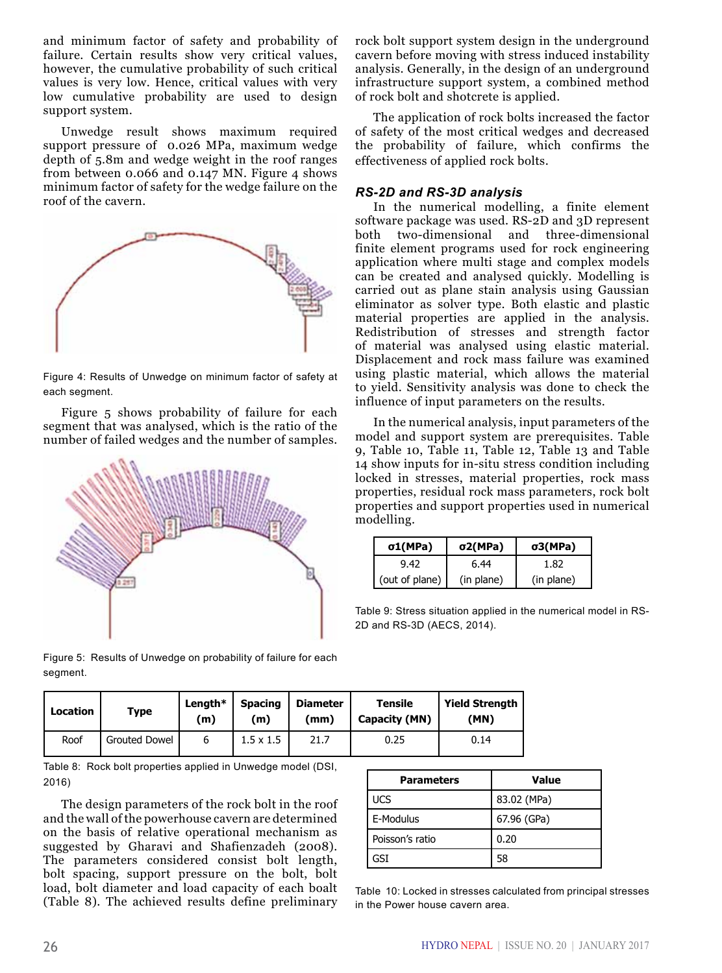and minimum factor of safety and probability of failure. Certain results show very critical values, however, the cumulative probability of such critical values is very low. Hence, critical values with very low cumulative probability are used to design support system.

Unwedge result shows maximum required support pressure of 0.026 MPa, maximum wedge depth of 5.8m and wedge weight in the roof ranges from between 0.066 and 0.147 MN. Figure 4 shows minimum factor of safety for the wedge failure on the roof of the cavern.



Figure 4: Results of Unwedge on minimum factor of safety at each segment.

Figure 5 shows probability of failure for each segment that was analysed, which is the ratio of the number of failed wedges and the number of samples.



Figure 5: Results of Unwedge on probability of failure for each segment.

rock bolt support system design in the underground cavern before moving with stress induced instability analysis. Generally, in the design of an underground infrastructure support system, a combined method of rock bolt and shotcrete is applied.

The application of rock bolts increased the factor of safety of the most critical wedges and decreased the probability of failure, which confirms the effectiveness of applied rock bolts.

#### *RS-2D and RS-3D analysis*

In the numerical modelling, a finite element software package was used. RS-2D and 3D represent both two-dimensional and three-dimensional finite element programs used for rock engineering application where multi stage and complex models can be created and analysed quickly. Modelling is carried out as plane stain analysis using Gaussian eliminator as solver type. Both elastic and plastic material properties are applied in the analysis. Redistribution of stresses and strength factor of material was analysed using elastic material. Displacement and rock mass failure was examined using plastic material, which allows the material to yield. Sensitivity analysis was done to check the influence of input parameters on the results.

In the numerical analysis, input parameters of the model and support system are prerequisites. Table 9, Table 10, Table 11, Table 12, Table 13 and Table 14 show inputs for in-situ stress condition including locked in stresses, material properties, rock mass properties, residual rock mass parameters, rock bolt properties and support properties used in numerical modelling.

| $\sigma1(MPa)$ | $\sigma$ 2(MPa) | $\sigma$ 3(MPa) |
|----------------|-----------------|-----------------|
| 9.42           | 6.44            | 1.82            |
| (out of plane) | (in plane)      | (in plane)      |

Table 9: Stress situation applied in the numerical model in RS-2D and RS-3D (AECS, 2014).

| <b>Location</b> | Type          | Length $*$<br>(m) | <b>Spacing</b><br>(m) | <b>Diameter</b><br>(mm) | Tensile<br>Capacity (MN) | <b>Yield Strength</b><br>(MN) |
|-----------------|---------------|-------------------|-----------------------|-------------------------|--------------------------|-------------------------------|
| Roof            | Grouted Dowel | b                 | $1.5 \times 1.5$      | 21.7                    | 0.25                     | 0.14                          |

Table 8: Rock bolt properties applied in Unwedge model (DSI, 2016)

The design parameters of the rock bolt in the roof and the wall of the powerhouse cavern are determined on the basis of relative operational mechanism as suggested by Gharavi and Shafienzadeh (2008). The parameters considered consist bolt length, bolt spacing, support pressure on the bolt, bolt load, bolt diameter and load capacity of each boalt (Table 8). The achieved results define preliminary

| Parameters      | <b>Value</b> |
|-----------------|--------------|
| <b>UCS</b>      | 83.02 (MPa)  |
| l E-Modulus     | 67.96 (GPa)  |
| Poisson's ratio | 0.20         |
| GST             | 58           |

Table 10: Locked in stresses calculated from principal stresses in the Power house cavern area.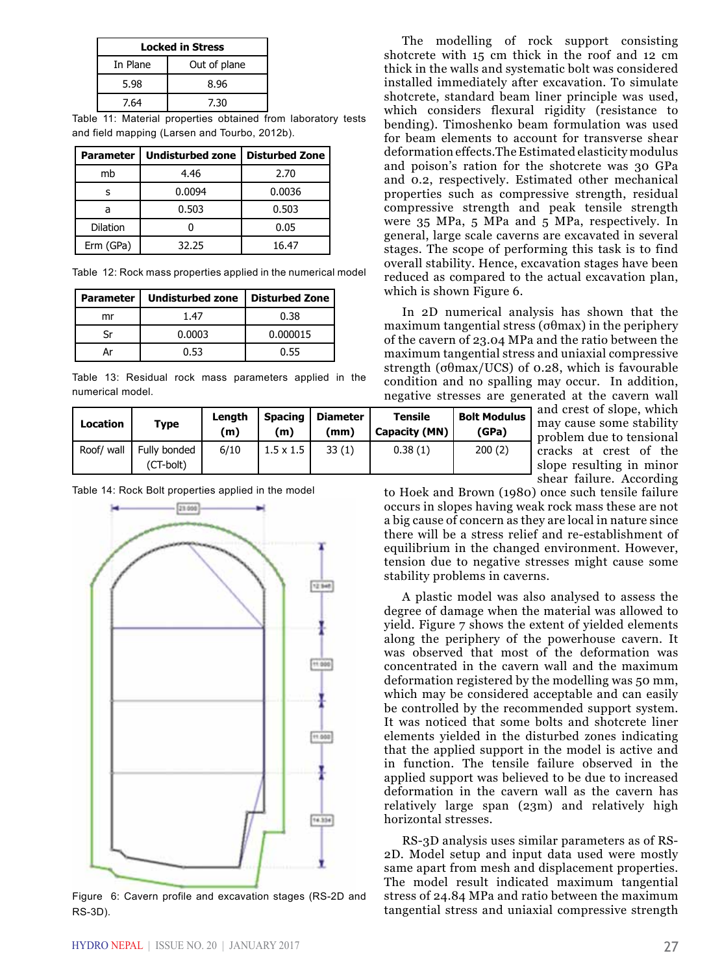| <b>Locked in Stress</b> |              |  |
|-------------------------|--------------|--|
| In Plane                | Out of plane |  |
| 5.98                    | 8.96         |  |
| 7.64                    | 7.30         |  |

Table 11: Material properties obtained from laboratory tests and field mapping (Larsen and Tourbo, 2012b).

| Parameter       | <b>Undisturbed zone</b> | <b>Disturbed Zone</b> |
|-----------------|-------------------------|-----------------------|
| mb              | 4.46                    | 2.70                  |
| s               | 0.0094                  | 0.0036                |
| a               | 0.503                   | 0.503                 |
| <b>Dilation</b> |                         | 0.05                  |
| Erm (GPa)       | 32.25                   | 16.47                 |

Table 12: Rock mass properties applied in the numerical model

| <b>Parameter</b> | <b>Undisturbed zone</b> | <b>Disturbed Zone</b> |
|------------------|-------------------------|-----------------------|
| mr               | 147                     | 0.38                  |
|                  | 0.0003                  | 0.000015              |
|                  | በ 53                    | 0.55                  |

Table 13: Residual rock mass parameters applied in the numerical model.

| <b>Location</b> | <b>Type</b>               | Length<br>(m) | <b>Spacing</b><br>(m) | <b>Diameter</b><br>(mm) | Tensile<br>Capacity (MN) | <b>Bolt Modulus</b><br>(GPa) |
|-----------------|---------------------------|---------------|-----------------------|-------------------------|--------------------------|------------------------------|
| Roof/ wall      | Fully bonded<br>(CT-bolt) | 6/10          | $1.5 \times 1.5$      | 33(1)                   | 0.38(1)                  | 200(2)                       |

Table 14: Rock Bolt properties applied in the model



Figure 6: Cavern profile and excavation stages (RS-2D and RS-3D).

The modelling of rock support consisting shotcrete with 15 cm thick in the roof and 12 cm thick in the walls and systematic bolt was considered installed immediately after excavation. To simulate shotcrete, standard beam liner principle was used, which considers flexural rigidity (resistance to bending). Timoshenko beam formulation was used for beam elements to account for transverse shear deformation effects.The Estimated elasticity modulus and poison's ration for the shotcrete was 30 GPa and 0.2, respectively. Estimated other mechanical properties such as compressive strength, residual compressive strength and peak tensile strength were 35 MPa, 5 MPa and 5 MPa, respectively. In general, large scale caverns are excavated in several stages. The scope of performing this task is to find overall stability. Hence, excavation stages have been reduced as compared to the actual excavation plan, which is shown Figure 6.

In 2D numerical analysis has shown that the maximum tangential stress (σθmax) in the periphery of the cavern of 23.04 MPa and the ratio between the maximum tangential stress and uniaxial compressive strength (σθmax/UCS) of 0.28, which is favourable condition and no spalling may occur. In addition, negative stresses are generated at the cavern wall

and crest of slope, which may cause some stability problem due to tensional cracks at crest of the slope resulting in minor shear failure. According

to Hoek and Brown (1980) once such tensile failure occurs in slopes having weak rock mass these are not a big cause of concern as they are local in nature since there will be a stress relief and re-establishment of equilibrium in the changed environment. However, tension due to negative stresses might cause some stability problems in caverns.

A plastic model was also analysed to assess the degree of damage when the material was allowed to yield. Figure 7 shows the extent of yielded elements along the periphery of the powerhouse cavern. It was observed that most of the deformation was concentrated in the cavern wall and the maximum deformation registered by the modelling was 50 mm, which may be considered acceptable and can easily be controlled by the recommended support system. It was noticed that some bolts and shotcrete liner elements yielded in the disturbed zones indicating that the applied support in the model is active and in function. The tensile failure observed in the applied support was believed to be due to increased deformation in the cavern wall as the cavern has relatively large span (23m) and relatively high horizontal stresses.

RS-3D analysis uses similar parameters as of RS-2D. Model setup and input data used were mostly same apart from mesh and displacement properties. The model result indicated maximum tangential stress of 24.84 MPa and ratio between the maximum tangential stress and uniaxial compressive strength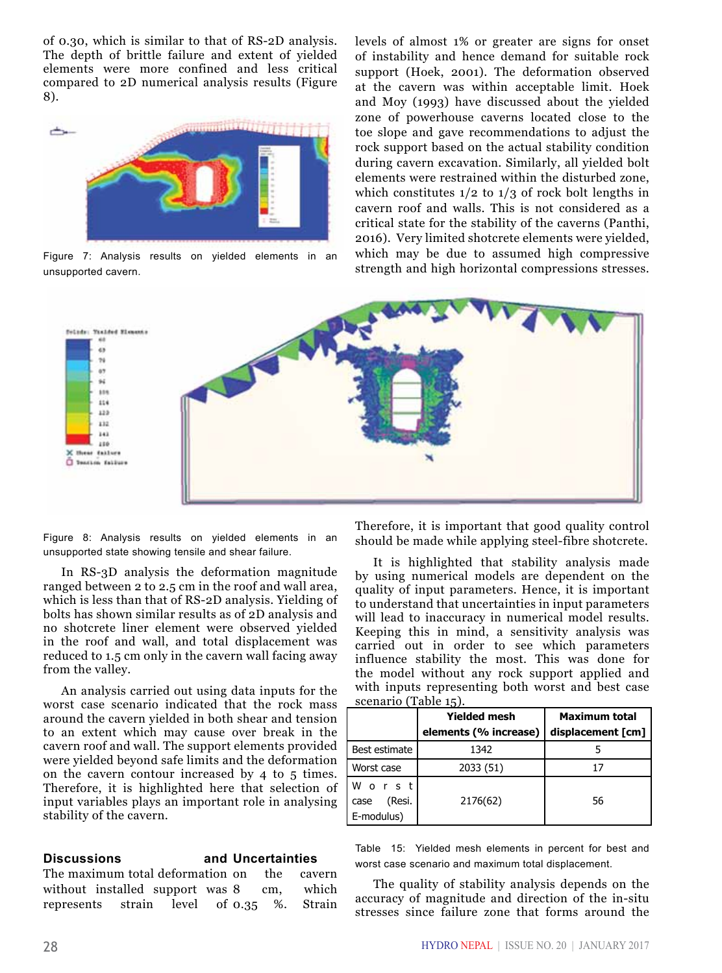of 0.30, which is similar to that of RS-2D analysis. The depth of brittle failure and extent of yielded elements were more confined and less critical compared to 2D numerical analysis results (Figure 8).



Figure 7: Analysis results on yielded elements in an unsupported cavern.

levels of almost 1% or greater are signs for onset of instability and hence demand for suitable rock support (Hoek, 2001). The deformation observed at the cavern was within acceptable limit. Hoek and Moy (1993) have discussed about the yielded zone of powerhouse caverns located close to the toe slope and gave recommendations to adjust the rock support based on the actual stability condition during cavern excavation. Similarly, all yielded bolt elements were restrained within the disturbed zone, which constitutes  $1/2$  to  $1/3$  of rock bolt lengths in cavern roof and walls. This is not considered as a critical state for the stability of the caverns (Panthi, 2016). Very limited shotcrete elements were yielded, which may be due to assumed high compressive strength and high horizontal compressions stresses.



Figure 8: Analysis results on yielded elements in an unsupported state showing tensile and shear failure.

In RS-3D analysis the deformation magnitude ranged between 2 to 2.5 cm in the roof and wall area, which is less than that of RS-2D analysis. Yielding of bolts has shown similar results as of 2D analysis and no shotcrete liner element were observed yielded in the roof and wall, and total displacement was reduced to 1.5 cm only in the cavern wall facing away from the valley.

An analysis carried out using data inputs for the worst case scenario indicated that the rock mass around the cavern yielded in both shear and tension to an extent which may cause over break in the cavern roof and wall. The support elements provided were yielded beyond safe limits and the deformation on the cavern contour increased by 4 to 5 times. Therefore, it is highlighted here that selection of input variables plays an important role in analysing stability of the cavern.

## **Discussions and Uncertainties**

The maximum total deformation on the cavern without installed support was 8 cm, which represents strain level of 0.35 %. Strain

Therefore, it is important that good quality control should be made while applying steel-fibre shotcrete.

It is highlighted that stability analysis made by using numerical models are dependent on the quality of input parameters. Hence, it is important to understand that uncertainties in input parameters will lead to inaccuracy in numerical model results. Keeping this in mind, a sensitivity analysis was carried out in order to see which parameters influence stability the most. This was done for the model without any rock support applied and with inputs representing both worst and best case scenario (Table 15).

|                                       | <b>Yielded mesh</b><br>elements (% increase) | <b>Maximum total</b><br>displacement [cm] |  |  |
|---------------------------------------|----------------------------------------------|-------------------------------------------|--|--|
| Best estimate                         | 1342                                         |                                           |  |  |
| Worst case                            | 2033 (51)                                    | 17                                        |  |  |
| Worst<br>(Resi.<br>case<br>E-modulus) | 2176(62)                                     | 56                                        |  |  |

Table 15: Yielded mesh elements in percent for best and worst case scenario and maximum total displacement.

The quality of stability analysis depends on the accuracy of magnitude and direction of the in-situ stresses since failure zone that forms around the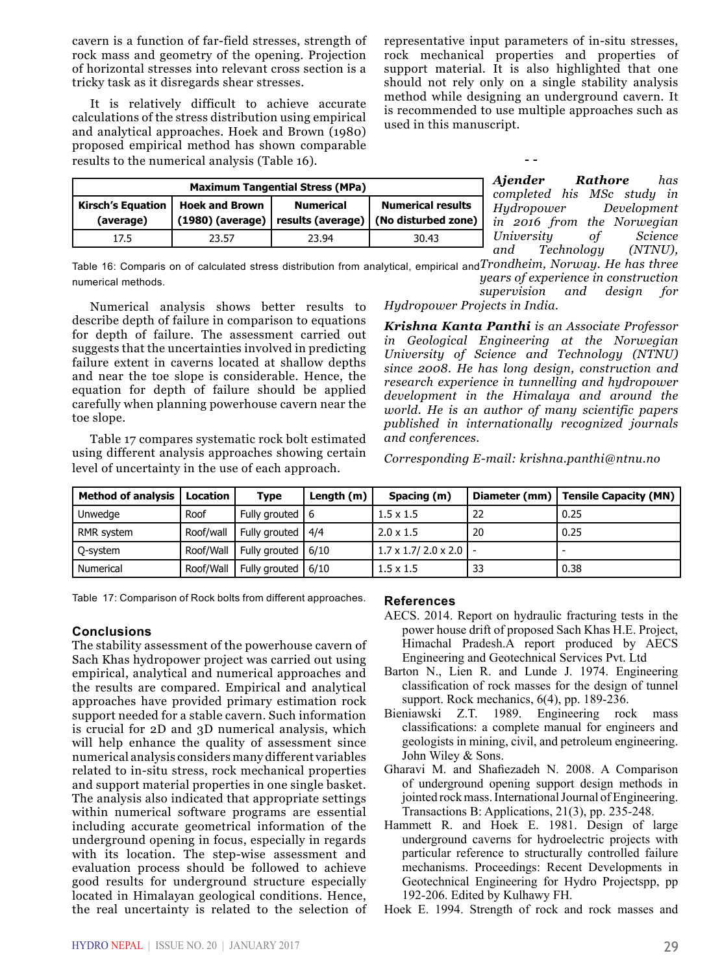cavern is a function of far-field stresses, strength of rock mass and geometry of the opening. Projection of horizontal stresses into relevant cross section is a tricky task as it disregards shear stresses.

It is relatively difficult to achieve accurate calculations of the stress distribution using empirical and analytical approaches. Hoek and Brown (1980) proposed empirical method has shown comparable results to the numerical analysis (Table 16).

representative input parameters of in-situ stresses, rock mechanical properties and properties of support material. It is also highlighted that one should not rely only on a single stability analysis method while designing an underground cavern. It is recommended to use multiple approaches such as used in this manuscript.

**- -**

| <b>Maximum Tangential Stress (MPa)</b>                                             |       |                                       |                                                 |  |  |
|------------------------------------------------------------------------------------|-------|---------------------------------------|-------------------------------------------------|--|--|
| <b>Kirsch's Equation</b><br><b>Hoek and Brown</b><br>(1980) (average)<br>(average) |       | <b>Numerical</b><br>results (average) | <b>Numerical results</b><br>(No disturbed zone) |  |  |
| 17.5                                                                               | 23.57 | 23.94                                 | 30.43                                           |  |  |

*Ajender Rathore has completed his MSc study in Hydropower Development in 2016 from the Norwegian University of Science and Technology (NTNU),* 

*Trondheim, Norway. He has three*  Table 16: Comparis on of calculated stress distribution from analytical, empirical and *years of experience in construction supervision and design for*  numerical methods.

Numerical analysis shows better results to describe depth of failure in comparison to equations for depth of failure. The assessment carried out suggests that the uncertainties involved in predicting failure extent in caverns located at shallow depths and near the toe slope is considerable. Hence, the equation for depth of failure should be applied carefully when planning powerhouse cavern near the toe slope.

Table 17 compares systematic rock bolt estimated using different analysis approaches showing certain level of uncertainty in the use of each approach.

*Hydropower Projects in India.* 

*Krishna Kanta Panthi is an Associate Professor in Geological Engineering at the Norwegian University of Science and Technology (NTNU) since 2008. He has long design, construction and research experience in tunnelling and hydropower development in the Himalaya and around the world. He is an author of many scientific papers published in internationally recognized journals and conferences.*

*Corresponding E-mail: krishna.panthi@ntnu.no*

| Method of analysis   Location |           | <b>Type</b>           | Length $(m)$ | Spacing (m)                           |    | Diameter (mm)   Tensile Capacity (MN) |
|-------------------------------|-----------|-----------------------|--------------|---------------------------------------|----|---------------------------------------|
| Unwedge                       | Roof      | Fully grouted   6     |              | $1.5 \times 1.5$                      | 22 | 0.25                                  |
| RMR system                    | Roof/wall | Fully grouted $ 4/4 $ |              | $2.0 \times 1.5$                      | 20 | 0.25                                  |
| O-system                      | Roof/Wall | Fully grouted         | 6/10         | $1.7 \times 1.7 / 2.0 \times 2.0$   - |    |                                       |
| Numerical                     | Roof/Wall | Fully grouted         | 6/10         | $1.5 \times 1.5$                      | 33 | 0.38                                  |

Table 17: Comparison of Rock bolts from different approaches.

## **Conclusions**

The stability assessment of the powerhouse cavern of Sach Khas hydropower project was carried out using empirical, analytical and numerical approaches and the results are compared. Empirical and analytical approaches have provided primary estimation rock support needed for a stable cavern. Such information is crucial for 2D and 3D numerical analysis, which will help enhance the quality of assessment since numerical analysis considers many different variables related to in-situ stress, rock mechanical properties and support material properties in one single basket. The analysis also indicated that appropriate settings within numerical software programs are essential including accurate geometrical information of the underground opening in focus, especially in regards with its location. The step-wise assessment and evaluation process should be followed to achieve good results for underground structure especially located in Himalayan geological conditions. Hence, the real uncertainty is related to the selection of

#### **References**

- AECS. 2014. Report on hydraulic fracturing tests in the power house drift of proposed Sach Khas H.E. Project, Himachal Pradesh.A report produced by AECS Engineering and Geotechnical Services Pvt. Ltd
- Barton N., Lien R. and Lunde J. 1974. Engineering classification of rock masses for the design of tunnel support. Rock mechanics,  $6(4)$ , pp. 189-236.
- Bieniawski Z.T. 1989. Engineering rock mass classifications: a complete manual for engineers and geologists in mining, civil, and petroleum engineering. John Wiley & Sons.
- Gharavi M. and Shafiezadeh N. 2008. A Comparison of underground opening support design methods in jointed rock mass. International Journal of Engineering. Transactions B: Applications, 21(3), pp. 235-248.
- Hammett R. and Hoek E. 1981. Design of large underground caverns for hydroelectric projects with particular reference to structurally controlled failure mechanisms. Proceedings: Recent Developments in Geotechnical Engineering for Hydro Projectspp, pp 192-206. Edited by Kulhawy FH.
- Hoek E. 1994. Strength of rock and rock masses and